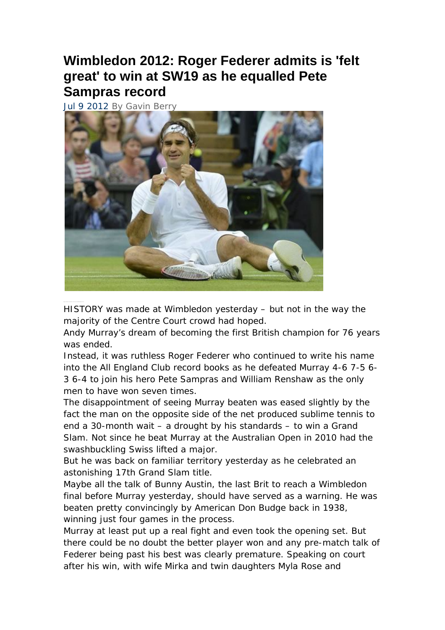## **Wimbledon 2012: Roger Federer admits is 'felt great' to win at SW19 as he equalled Pete Sampras record**

Jul 9 2012 By Gavin Berry



HISTORY was made at Wimbledon yesterday – but not in the way the majority of the Centre Court crowd had hoped.

Andy Murray's dream of becoming the first British champion for 76 years was ended.

Instead, it was ruthless Roger Federer who continued to write his name into the All England Club record books as he defeated Murray 4-6 7-5 6- 3 6-4 to join his hero Pete Sampras and William Renshaw as the only men to have won seven times.

The disappointment of seeing Murray beaten was eased slightly by the fact the man on the opposite side of the net produced sublime tennis to end a 30-month wait – a drought by his standards – to win a Grand Slam. Not since he beat Murray at the Australian Open in 2010 had the swashbuckling Swiss lifted a major.

But he was back on familiar territory yesterday as he celebrated an astonishing 17th Grand Slam title.

Maybe all the talk of Bunny Austin, the last Brit to reach a Wimbledon final before Murray yesterday, should have served as a warning. He was beaten pretty convincingly by American Don Budge back in 1938, winning just four games in the process.

Murray at least put up a real fight and even took the opening set. But there could be no doubt the better player won and any pre-match talk of Federer being past his best was clearly premature. Speaking on court after his win, with wife Mirka and twin daughters Myla Rose and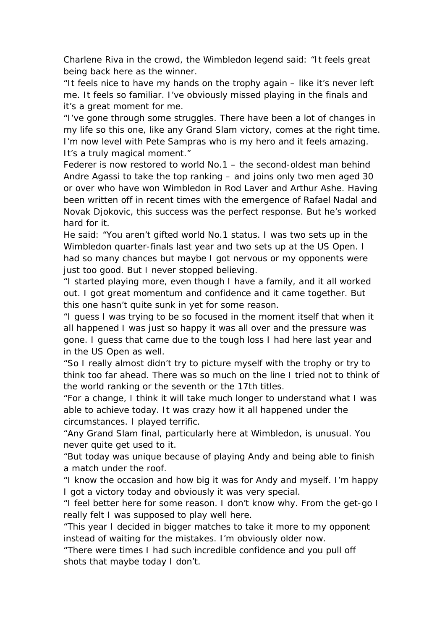Charlene Riva in the crowd, the Wimbledon legend said: "It feels great being back here as the winner.

"It feels nice to have my hands on the trophy again – like it's never left me. It feels so familiar. I've obviously missed playing in the finals and it's a great moment for me.

"I've gone through some struggles. There have been a lot of changes in my life so this one, like any Grand Slam victory, comes at the right time. I'm now level with Pete Sampras who is my hero and it feels amazing. It's a truly magical moment."

Federer is now restored to world No.1 – the second-oldest man behind Andre Agassi to take the top ranking – and joins only two men aged 30 or over who have won Wimbledon in Rod Laver and Arthur Ashe. Having been written off in recent times with the emergence of Rafael Nadal and Novak Djokovic, this success was the perfect response. But he's worked hard for it.

He said: "You aren't gifted world No.1 status. I was two sets up in the Wimbledon quarter-finals last year and two sets up at the US Open. I had so many chances but maybe I got nervous or my opponents were just too good. But I never stopped believing.

"I started playing more, even though I have a family, and it all worked out. I got great momentum and confidence and it came together. But this one hasn't quite sunk in yet for some reason.

"I guess I was trying to be so focused in the moment itself that when it all happened I was just so happy it was all over and the pressure was gone. I guess that came due to the tough loss I had here last year and in the US Open as well.

"So I really almost didn't try to picture myself with the trophy or try to think too far ahead. There was so much on the line I tried not to think of the world ranking or the seventh or the 17th titles.

"For a change, I think it will take much longer to understand what I was able to achieve today. It was crazy how it all happened under the circumstances. I played terrific.

"Any Grand Slam final, particularly here at Wimbledon, is unusual. You never quite get used to it.

"But today was unique because of playing Andy and being able to finish a match under the roof.

"I know the occasion and how big it was for Andy and myself. I'm happy I got a victory today and obviously it was very special.

"I feel better here for some reason. I don't know why. From the get-go I really felt I was supposed to play well here.

"This year I decided in bigger matches to take it more to my opponent instead of waiting for the mistakes. I'm obviously older now.

"There were times I had such incredible confidence and you pull off shots that maybe today I don't.